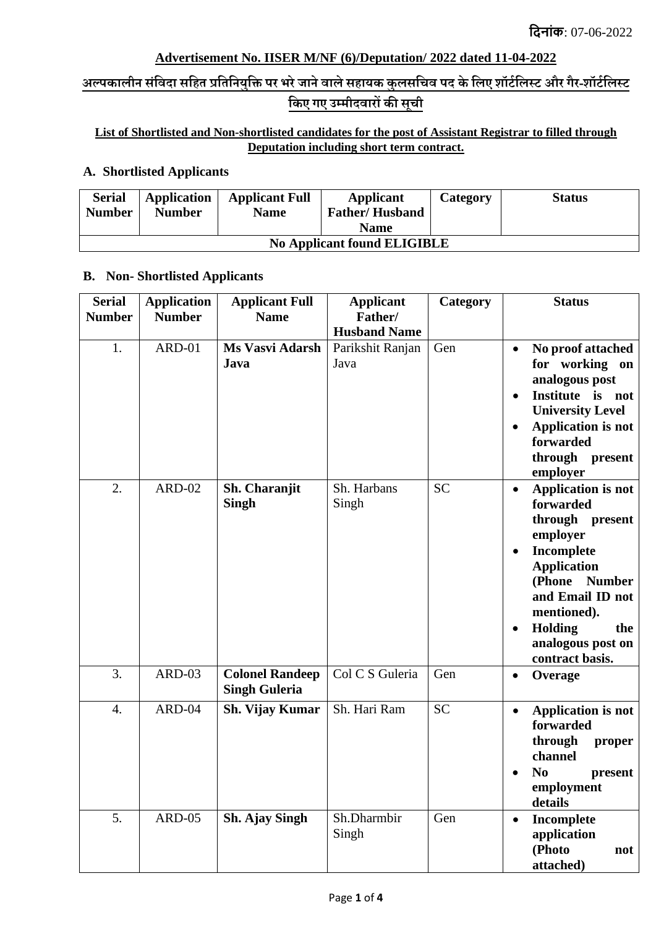## **Advertisement No. IISER M/NF (6)/Deputation/ 2022 dated 11-04-2022**

# **अल्पकालीन संविदा सवित प्रवतवनयुवि पर भरेजानेिालेसिायक कुलसविि पद केवलए शॉर्टवलस्र् और गैर-शॉर्टवलस्र् वकए गए उम्मीदिारों की सूिी**

### **List of Shortlisted and Non-shortlisted candidates for the post of Assistant Registrar to filled through Deputation including short term contract.**

### **A. Shortlisted Applicants**

| <b>Serial</b><br><b>Number</b>     | Application<br><b>Number</b> | <b>Applicant Full</b><br><b>Name</b> | <b>Applicant</b><br><b>Father/Husband</b><br><b>Name</b> | Category | <b>Status</b> |  |
|------------------------------------|------------------------------|--------------------------------------|----------------------------------------------------------|----------|---------------|--|
| <b>No Applicant found ELIGIBLE</b> |                              |                                      |                                                          |          |               |  |

#### **B. Non- Shortlisted Applicants**

| <b>Serial</b><br><b>Number</b> | <b>Application</b><br><b>Number</b> | <b>Applicant Full</b><br><b>Name</b>           | <b>Applicant</b><br>Father/                     | Category  | <b>Status</b>                                                                                                                                                                                                                                                       |  |
|--------------------------------|-------------------------------------|------------------------------------------------|-------------------------------------------------|-----------|---------------------------------------------------------------------------------------------------------------------------------------------------------------------------------------------------------------------------------------------------------------------|--|
| 1.                             | ARD-01                              | Ms Vasvi Adarsh<br>Java                        | <b>Husband Name</b><br>Parikshit Ranjan<br>Java | Gen       | No proof attached<br>$\bullet$<br>for working<br>on<br>analogous post<br>Institute is not<br>$\bullet$<br><b>University Level</b><br><b>Application is not</b><br>$\bullet$<br>forwarded<br>through present<br>employer                                             |  |
| 2.                             | <b>ARD-02</b>                       | Sh. Charanjit<br><b>Singh</b>                  | Sh. Harbans<br>Singh                            | <b>SC</b> | <b>Application is not</b><br>$\bullet$<br>forwarded<br>through<br>present<br>employer<br>Incomplete<br>$\bullet$<br><b>Application</b><br>(Phone<br><b>Number</b><br>and Email ID not<br>mentioned).<br>Holding<br>the<br>٠<br>analogous post on<br>contract basis. |  |
| 3.                             | ARD-03                              | <b>Colonel Randeep</b><br><b>Singh Guleria</b> | Col C S Guleria                                 | Gen       | Overage<br>$\bullet$                                                                                                                                                                                                                                                |  |
| $\overline{4}$ .               | ARD-04                              | <b>Sh. Vijay Kumar</b>                         | Sh. Hari Ram                                    | <b>SC</b> | <b>Application is not</b><br>$\bullet$<br>forwarded<br>through<br>proper<br>channel<br>N <sub>0</sub><br>present<br>employment<br>details                                                                                                                           |  |
| 5.                             | ARD-05                              | Sh. Ajay Singh                                 | Sh.Dharmbir<br>Singh                            | Gen       | Incomplete<br>$\bullet$<br>application<br>(Photo<br>not<br>attached)                                                                                                                                                                                                |  |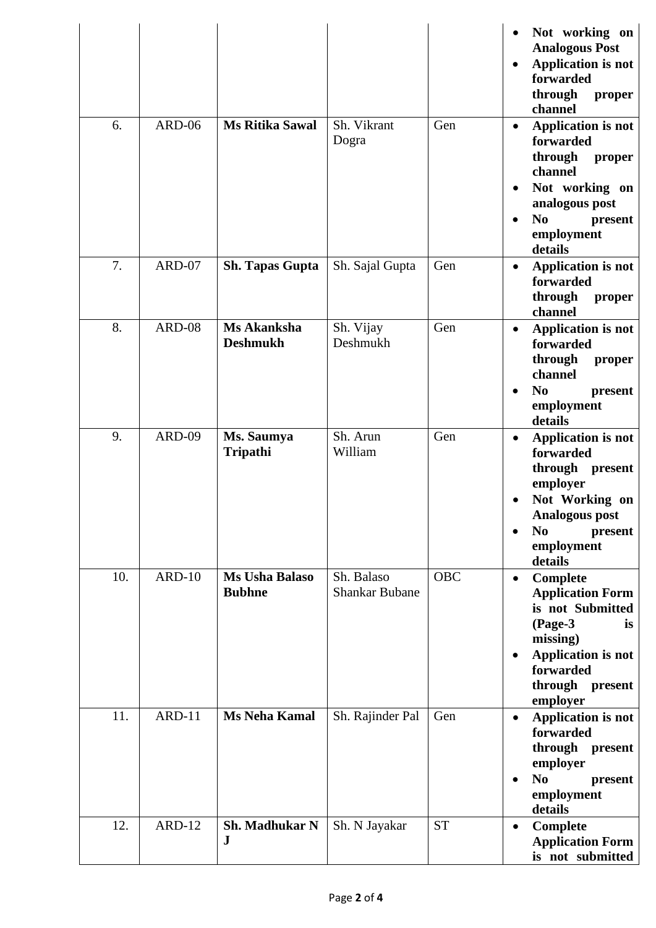|     |               |                                 |                                     |            | ٠                                   | Not working on<br><b>Analogous Post</b><br><b>Application is not</b><br>forwarded<br>through<br>proper<br>channel                                                      |
|-----|---------------|---------------------------------|-------------------------------------|------------|-------------------------------------|------------------------------------------------------------------------------------------------------------------------------------------------------------------------|
| 6.  | <b>ARD-06</b> | <b>Ms Ritika Sawal</b>          | Sh. Vikrant<br>Dogra                | Gen        | $\bullet$<br>$\bullet$<br>$\bullet$ | <b>Application is not</b><br>forwarded<br>through<br>proper<br>channel<br>Not working on<br>analogous post<br>N <sub>0</sub><br>present<br>employment<br>details       |
| 7.  | ARD-07        | <b>Sh. Tapas Gupta</b>          | Sh. Sajal Gupta                     | Gen        | $\bullet$                           | <b>Application is not</b><br>forwarded<br>through<br>proper<br>channel                                                                                                 |
| 8.  | ARD-08        | Ms Akanksha<br><b>Deshmukh</b>  | Sh. Vijay<br>Deshmukh               | Gen        | $\bullet$                           | <b>Application is not</b><br>forwarded<br>through<br>proper<br>channel<br>N <sub>0</sub><br>present<br>employment<br>details                                           |
| 9.  | <b>ARD-09</b> | Ms. Saumya<br>Tripathi          | Sh. Arun<br>William                 | Gen        | $\bullet$                           | <b>Application is not</b><br>forwarded<br>through present<br>employer<br>Not Working on<br><b>Analogous post</b><br>N <sub>0</sub><br>present<br>employment<br>details |
| 10. | $ARD-10$      | Ms Usha Balaso<br><b>Bubhne</b> | Sh. Balaso<br><b>Shankar Bubane</b> | <b>OBC</b> | $\bullet$<br>$\bullet$              | Complete<br><b>Application Form</b><br>is not Submitted<br>(Page-3<br>is<br>missing)<br>Application is not<br>forwarded<br>through present<br>employer                 |
| 11. | <b>ARD-11</b> | <b>Ms Neha Kamal</b>            | Sh. Rajinder Pal                    | Gen        | $\bullet$                           | <b>Application is not</b><br>forwarded<br>through present<br>employer<br>N <sub>0</sub><br>present<br>employment<br>details                                            |
| 12. | <b>ARD-12</b> | Sh. Madhukar N<br>${\bf J}$     | Sh. N Jayakar                       | <b>ST</b>  | $\bullet$                           | Complete<br><b>Application Form</b><br>is not submitted                                                                                                                |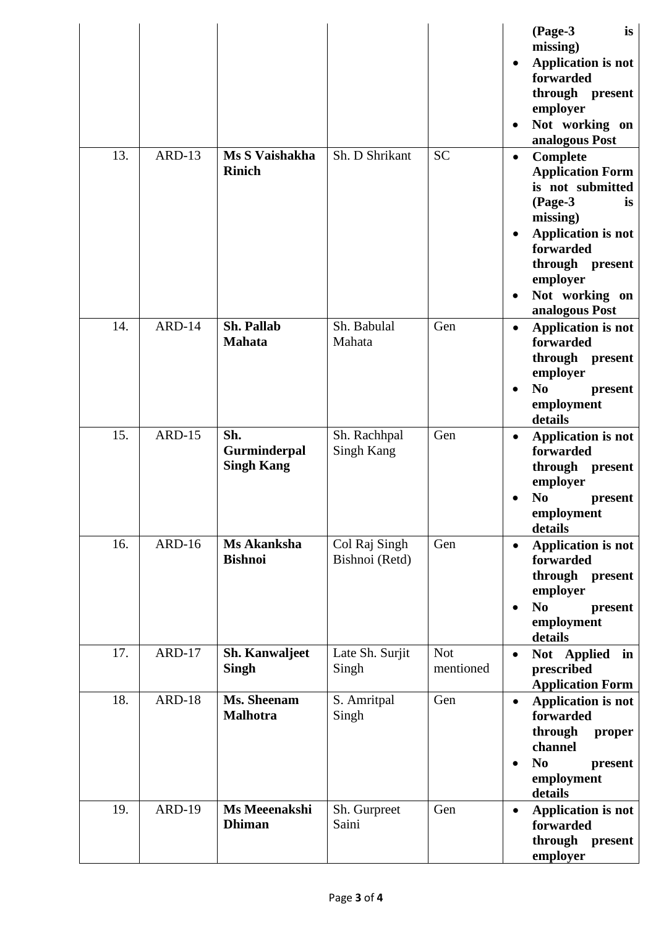|     |               |                                          |                                 |                         | (Page-3<br>is<br>missing)<br><b>Application is not</b><br>$\bullet$<br>forwarded<br>through<br>present<br>employer<br>Not working on<br>analogous Post                                                                             |
|-----|---------------|------------------------------------------|---------------------------------|-------------------------|------------------------------------------------------------------------------------------------------------------------------------------------------------------------------------------------------------------------------------|
| 13. | ARD-13        | Ms S Vaishakha<br><b>Rinich</b>          | Sh. D Shrikant                  | <b>SC</b>               | <b>Complete</b><br>$\bullet$<br><b>Application Form</b><br>is not submitted<br>(Page-3<br>is<br>missing)<br><b>Application is not</b><br>$\bullet$<br>forwarded<br>through present<br>employer<br>Not working on<br>analogous Post |
| 14. | ARD-14        | <b>Sh. Pallab</b><br><b>Mahata</b>       | Sh. Babulal<br>Mahata           | Gen                     | <b>Application is not</b><br>$\bullet$<br>forwarded<br>through<br>present<br>employer<br>N <sub>0</sub><br>present<br>employment<br>details                                                                                        |
| 15. | <b>ARD-15</b> | Sh.<br>Gurminderpal<br><b>Singh Kang</b> | Sh. Rachhpal<br>Singh Kang      | Gen                     | <b>Application is not</b><br>$\bullet$<br>forwarded<br>through present<br>employer<br>N <sub>0</sub><br>present<br>employment<br>details                                                                                           |
| 16. | <b>ARD-16</b> | Ms Akanksha<br><b>Bishnoi</b>            | Col Raj Singh<br>Bishnoi (Retd) | Gen                     | Application is not<br>$\bullet$<br>forwarded<br>through<br>present<br>employer<br>N <sub>0</sub><br>present<br>٠<br>employment<br>details                                                                                          |
| 17. | ARD-17        | Sh. Kanwaljeet<br><b>Singh</b>           | Late Sh. Surjit<br>Singh        | <b>Not</b><br>mentioned | Not Applied<br>in<br>$\bullet$<br>prescribed<br><b>Application Form</b>                                                                                                                                                            |
| 18. | <b>ARD-18</b> | Ms. Sheenam<br><b>Malhotra</b>           | S. Amritpal<br>Singh            | Gen                     | <b>Application is not</b><br>$\bullet$<br>forwarded<br>through<br>proper<br>channel<br>N <sub>0</sub><br>present<br>$\bullet$<br>employment<br>details                                                                             |
| 19. | <b>ARD-19</b> | Ms Meeenakshi<br><b>Dhiman</b>           | Sh. Gurpreet<br>Saini           | Gen                     | <b>Application is not</b><br>$\bullet$<br>forwarded<br>through<br>present<br>employer                                                                                                                                              |